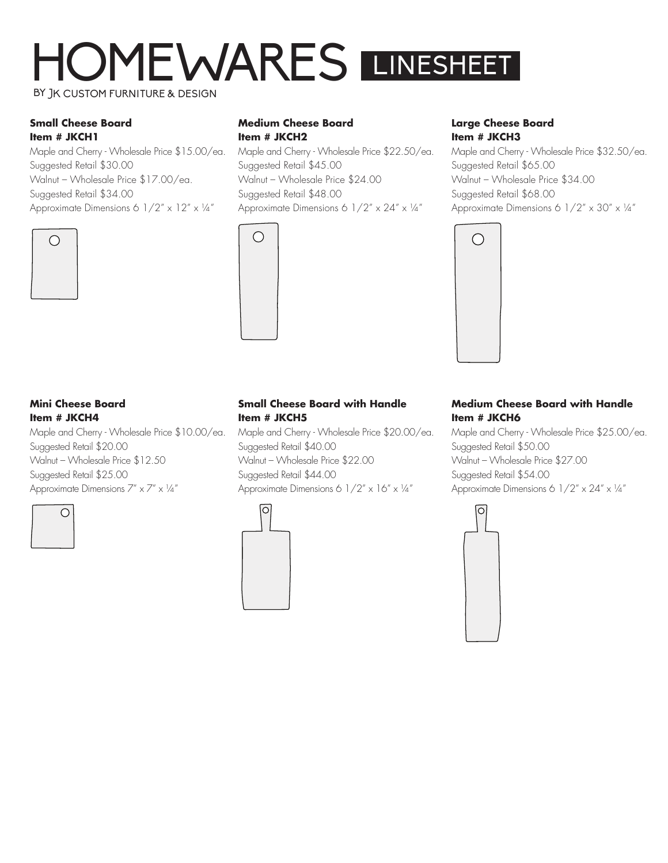# HOMEWARES BY JK CUSTOM FURNITURE & DESIGN LINESHEET

#### **Small Cheese Board Item # JKCH1**

Maple and Cherry - Wholesale Price \$15.00/ea. Suggested Retail \$30.00 Walnut – Wholesale Price \$17.00/ea. Suggested Retail \$34.00 Approximate Dimensions 6 1/2" x 12" x ¼"



#### **Medium Cheese Board Item # JKCH2**

Maple and Cherry - Wholesale Price \$22.50/ea. Suggested Retail \$45.00 Walnut – Wholesale Price \$24.00 Suggested Retail \$48.00 Approximate Dimensions 6 1/2" x 24" x 1/4"



### **Large Cheese Board Item # JKCH3**

Maple and Cherry - Wholesale Price \$32.50/ea. Suggested Retail \$65.00 Walnut – Wholesale Price \$34.00 Suggested Retail \$68.00 Approximate Dimensions 6 1/2" x 30" x ¼"



### **Mini Cheese Board Item # JKCH4**

Maple and Cherry - Wholesale Price \$10.00/ea. Suggested Retail \$20.00 Walnut – Wholesale Price \$12.50 Suggested Retail \$25.00 Approximate Dimensions  $7'' \times 7'' \times \frac{1}{4}''$ 



## **Small Cheese Board with Handle Item # JKCH5**

Maple and Cherry - Wholesale Price \$20.00/ea. Suggested Retail \$40.00 Walnut – Wholesale Price \$22.00 Suggested Retail \$44.00 Approximate Dimensions 6  $1/2'' \times 16'' \times 14''$ 



### **Medium Cheese Board with Handle Item # JKCH6**

Maple and Cherry - Wholesale Price \$25.00/ea. Suggested Retail \$50.00 Walnut – Wholesale Price \$27.00 Suggested Retail \$54.00 Approximate Dimensions 6 1/2" x 24" x 1/4"